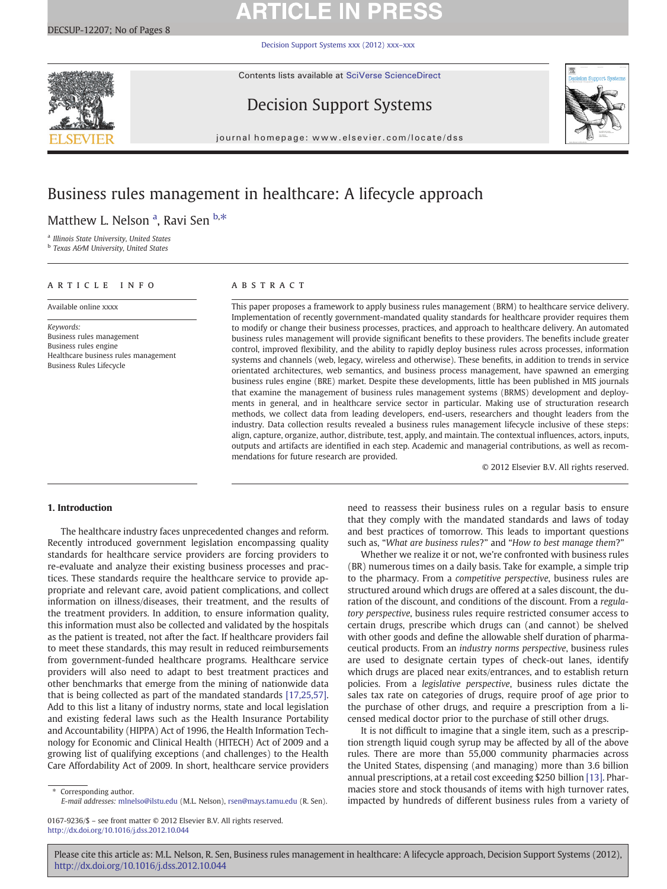# **ARTICLE IN PRESS**

[Decision Support Systems xxx \(2012\) xxx](http://dx.doi.org/10.1016/j.dss.2012.10.044)–xxx

Contents lists available at [SciVerse ScienceDirect](http://www.sciencedirect.com/science/journal/01679236)



Decision Support Systems



journal homepage: www.elsevier.com/locate/dss

## Business rules management in healthcare: A lifecycle approach

Matthew L. Nelson <sup>a</sup>, Ravi Sen <sup>b,\*</sup>

<sup>a</sup> Illinois State University, United States

<sup>b</sup> Texas A&M University, United States

#### article info abstract

Available online xxxx

Keywords: Business rules management Business rules engine Healthcare business rules management Business Rules Lifecycle

This paper proposes a framework to apply business rules management (BRM) to healthcare service delivery. Implementation of recently government-mandated quality standards for healthcare provider requires them to modify or change their business processes, practices, and approach to healthcare delivery. An automated business rules management will provide significant benefits to these providers. The benefits include greater control, improved flexibility, and the ability to rapidly deploy business rules across processes, information systems and channels (web, legacy, wireless and otherwise). These benefits, in addition to trends in service orientated architectures, web semantics, and business process management, have spawned an emerging business rules engine (BRE) market. Despite these developments, little has been published in MIS journals that examine the management of business rules management systems (BRMS) development and deployments in general, and in healthcare service sector in particular. Making use of structuration research methods, we collect data from leading developers, end-users, researchers and thought leaders from the industry. Data collection results revealed a business rules management lifecycle inclusive of these steps: align, capture, organize, author, distribute, test, apply, and maintain. The contextual influences, actors, inputs, outputs and artifacts are identified in each step. Academic and managerial contributions, as well as recommendations for future research are provided.

© 2012 Elsevier B.V. All rights reserved.

#### 1. Introduction

The healthcare industry faces unprecedented changes and reform. Recently introduced government legislation encompassing quality standards for healthcare service providers are forcing providers to re-evaluate and analyze their existing business processes and practices. These standards require the healthcare service to provide appropriate and relevant care, avoid patient complications, and collect information on illness/diseases, their treatment, and the results of the treatment providers. In addition, to ensure information quality, this information must also be collected and validated by the hospitals as the patient is treated, not after the fact. If healthcare providers fail to meet these standards, this may result in reduced reimbursements from government-funded healthcare programs. Healthcare service providers will also need to adapt to best treatment practices and other benchmarks that emerge from the mining of nationwide data that is being collected as part of the mandated standards [\[17,25,57\].](#page--1-0) Add to this list a litany of industry norms, state and local legislation and existing federal laws such as the Health Insurance Portability and Accountability (HIPPA) Act of 1996, the Health Information Technology for Economic and Clinical Health (HITECH) Act of 2009 and a growing list of qualifying exceptions (and challenges) to the Health Care Affordability Act of 2009. In short, healthcare service providers

Corresponding author. E-mail addresses: [mlnelso@ilstu.edu](mailto:mlnelso@ilstu.edu) (M.L. Nelson), [rsen@mays.tamu.edu](mailto:rsen@mays.tamu.edu) (R. Sen).

0167-9236/\$ – see front matter © 2012 Elsevier B.V. All rights reserved. <http://dx.doi.org/10.1016/j.dss.2012.10.044>

need to reassess their business rules on a regular basis to ensure that they comply with the mandated standards and laws of today and best practices of tomorrow. This leads to important questions such as, "What are business rules?" and "How to best manage them?"

Whether we realize it or not, we're confronted with business rules (BR) numerous times on a daily basis. Take for example, a simple trip to the pharmacy. From a competitive perspective, business rules are structured around which drugs are offered at a sales discount, the duration of the discount, and conditions of the discount. From a regulatory perspective, business rules require restricted consumer access to certain drugs, prescribe which drugs can (and cannot) be shelved with other goods and define the allowable shelf duration of pharmaceutical products. From an industry norms perspective, business rules are used to designate certain types of check-out lanes, identify which drugs are placed near exits/entrances, and to establish return policies. From a legislative perspective, business rules dictate the sales tax rate on categories of drugs, require proof of age prior to the purchase of other drugs, and require a prescription from a licensed medical doctor prior to the purchase of still other drugs.

It is not difficult to imagine that a single item, such as a prescription strength liquid cough syrup may be affected by all of the above rules. There are more than 55,000 community pharmacies across the United States, dispensing (and managing) more than 3.6 billion annual prescriptions, at a retail cost exceeding \$250 billion [\[13\]](#page--1-0). Pharmacies store and stock thousands of items with high turnover rates, impacted by hundreds of different business rules from a variety of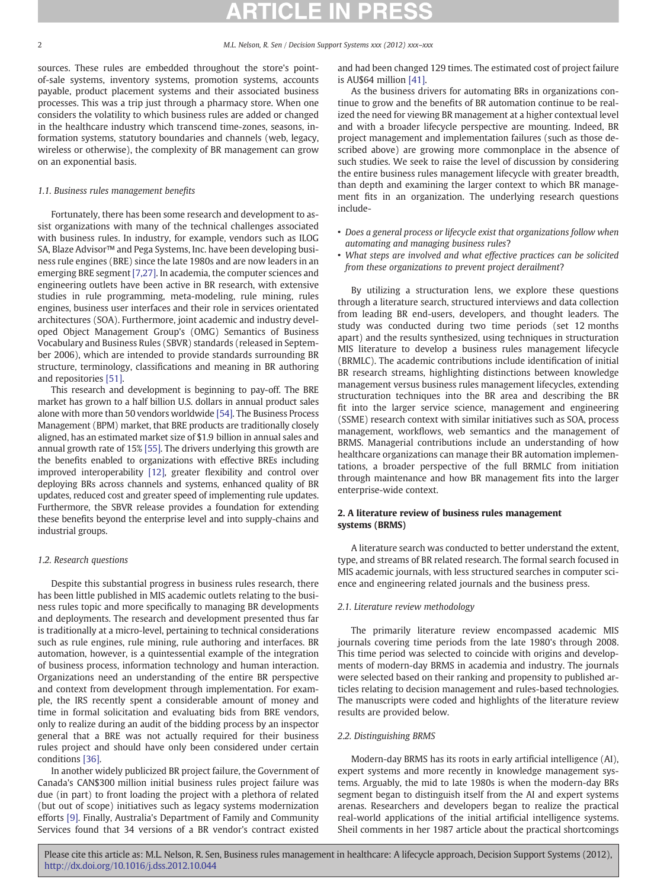sources. These rules are embedded throughout the store's pointof-sale systems, inventory systems, promotion systems, accounts payable, product placement systems and their associated business processes. This was a trip just through a pharmacy store. When one considers the volatility to which business rules are added or changed in the healthcare industry which transcend time-zones, seasons, information systems, statutory boundaries and channels (web, legacy, wireless or otherwise), the complexity of BR management can grow on an exponential basis.

### 1.1. Business rules management benefits

Fortunately, there has been some research and development to assist organizations with many of the technical challenges associated with business rules. In industry, for example, vendors such as ILOG SA, Blaze Advisor<sup>™</sup> and Pega Systems, Inc. have been developing business rule engines (BRE) since the late 1980s and are now leaders in an emerging BRE segment [\[7,27\]](#page--1-0). In academia, the computer sciences and engineering outlets have been active in BR research, with extensive studies in rule programming, meta-modeling, rule mining, rules engines, business user interfaces and their role in services orientated architectures (SOA). Furthermore, joint academic and industry developed Object Management Group's (OMG) Semantics of Business Vocabulary and Business Rules (SBVR) standards (released in September 2006), which are intended to provide standards surrounding BR structure, terminology, classifications and meaning in BR authoring and repositories [\[51\]](#page--1-0).

This research and development is beginning to pay-off. The BRE market has grown to a half billion U.S. dollars in annual product sales alone with more than 50 vendors worldwide [\[54\].](#page--1-0) The Business Process Management (BPM) market, that BRE products are traditionally closely aligned, has an estimated market size of \$1.9 billion in annual sales and annual growth rate of 15% [\[55\]](#page--1-0). The drivers underlying this growth are the benefits enabled to organizations with effective BREs including improved interoperability [\[12\],](#page--1-0) greater flexibility and control over deploying BRs across channels and systems, enhanced quality of BR updates, reduced cost and greater speed of implementing rule updates. Furthermore, the SBVR release provides a foundation for extending these benefits beyond the enterprise level and into supply-chains and industrial groups.

#### 1.2. Research questions

Despite this substantial progress in business rules research, there has been little published in MIS academic outlets relating to the business rules topic and more specifically to managing BR developments and deployments. The research and development presented thus far is traditionally at a micro-level, pertaining to technical considerations such as rule engines, rule mining, rule authoring and interfaces. BR automation, however, is a quintessential example of the integration of business process, information technology and human interaction. Organizations need an understanding of the entire BR perspective and context from development through implementation. For example, the IRS recently spent a considerable amount of money and time in formal solicitation and evaluating bids from BRE vendors, only to realize during an audit of the bidding process by an inspector general that a BRE was not actually required for their business rules project and should have only been considered under certain conditions [\[36\].](#page--1-0)

In another widely publicized BR project failure, the Government of Canada's CAN\$300 million initial business rules project failure was due (in part) to front loading the project with a plethora of related (but out of scope) initiatives such as legacy systems modernization efforts [\[9\].](#page--1-0) Finally, Australia's Department of Family and Community Services found that 34 versions of a BR vendor's contract existed

and had been changed 129 times. The estimated cost of project failure is AU\$64 million [\[41\].](#page--1-0)

As the business drivers for automating BRs in organizations continue to grow and the benefits of BR automation continue to be realized the need for viewing BR management at a higher contextual level and with a broader lifecycle perspective are mounting. Indeed, BR project management and implementation failures (such as those described above) are growing more commonplace in the absence of such studies. We seek to raise the level of discussion by considering the entire business rules management lifecycle with greater breadth, than depth and examining the larger context to which BR management fits in an organization. The underlying research questions include-

- Does a general process or lifecycle exist that organizations follow when automating and managing business rules?
- What steps are involved and what effective practices can be solicited from these organizations to prevent project derailment?

By utilizing a structuration lens, we explore these questions through a literature search, structured interviews and data collection from leading BR end-users, developers, and thought leaders. The study was conducted during two time periods (set 12 months apart) and the results synthesized, using techniques in structuration MIS literature to develop a business rules management lifecycle (BRMLC). The academic contributions include identification of initial BR research streams, highlighting distinctions between knowledge management versus business rules management lifecycles, extending structuration techniques into the BR area and describing the BR fit into the larger service science, management and engineering (SSME) research context with similar initiatives such as SOA, process management, workflows, web semantics and the management of BRMS. Managerial contributions include an understanding of how healthcare organizations can manage their BR automation implementations, a broader perspective of the full BRMLC from initiation through maintenance and how BR management fits into the larger enterprise-wide context.

### 2. A literature review of business rules management systems (BRMS)

A literature search was conducted to better understand the extent, type, and streams of BR related research. The formal search focused in MIS academic journals, with less structured searches in computer science and engineering related journals and the business press.

#### 2.1. Literature review methodology

The primarily literature review encompassed academic MIS journals covering time periods from the late 1980's through 2008. This time period was selected to coincide with origins and developments of modern-day BRMS in academia and industry. The journals were selected based on their ranking and propensity to published articles relating to decision management and rules-based technologies. The manuscripts were coded and highlights of the literature review results are provided below.

#### 2.2. Distinguishing BRMS

Modern-day BRMS has its roots in early artificial intelligence (AI), expert systems and more recently in knowledge management systems. Arguably, the mid to late 1980s is when the modern-day BRs segment began to distinguish itself from the AI and expert systems arenas. Researchers and developers began to realize the practical real-world applications of the initial artificial intelligence systems. Sheil comments in her 1987 article about the practical shortcomings

Please cite this article as: M.L. Nelson, R. Sen, Business rules management in healthcare: A lifecycle approach, Decision Support Systems (2012), <http://dx.doi.org/10.1016/j.dss.2012.10.044>